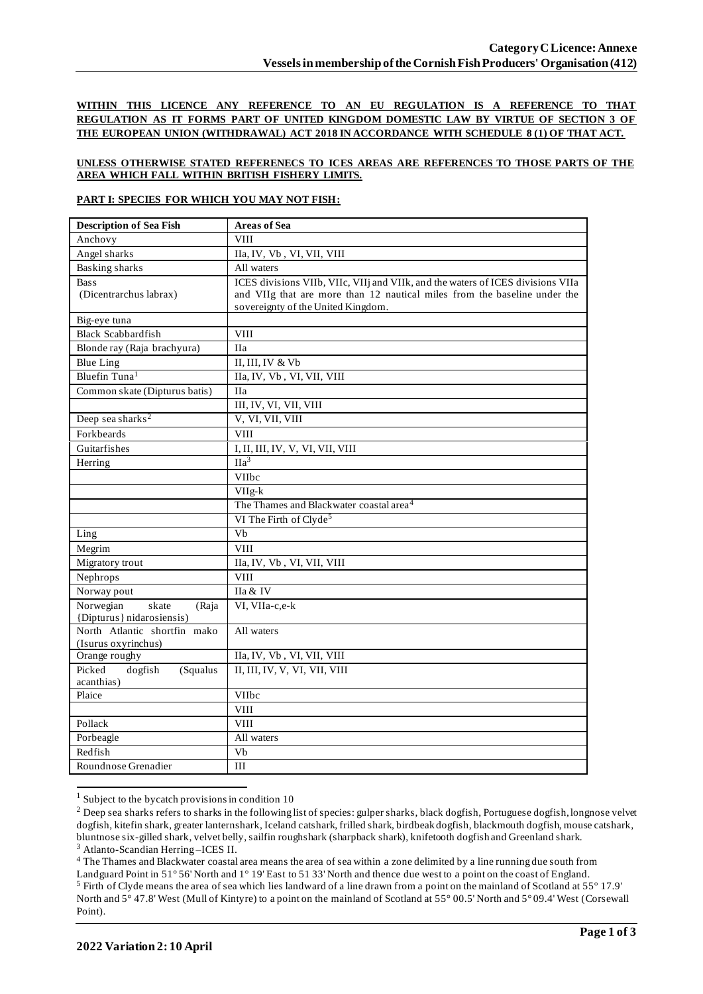**WITHIN THIS LICENCE ANY REFERENCE TO AN EU REGULATION IS A REFERENCE TO THAT REGULATION AS IT FORMS PART OF UNITED KINGDOM DOMESTIC LAW BY VIRTUE OF SECTION 3 OF THE EUROPEAN UNION (WITHDRAWAL) ACT 2018 IN ACCORDANCE WITH SCHEDULE 8 (1) OF THAT ACT.**

### **UNLESS OTHERWISE STATED REFERENECS TO ICES AREAS ARE REFERENCES TO THOSE PARTS OF THE AREA WHICH FALL WITHIN BRITISH FISHERY LIMITS.**

### **PART I: SPECIES FOR WHICH YOU MAY NOT FISH:**

| <b>Description of Sea Fish</b>              | <b>Areas of Sea</b>                                                             |
|---------------------------------------------|---------------------------------------------------------------------------------|
| Anchovy                                     | <b>VIII</b>                                                                     |
| Angel sharks                                | IIa, IV, Vb, VI, VII, VIII                                                      |
| Basking sharks                              | All waters                                                                      |
| <b>Bass</b>                                 | ICES divisions VIIb, VIIc, VIIj and VIIk, and the waters of ICES divisions VIIa |
| (Dicentrarchus labrax)                      | and VIIg that are more than 12 nautical miles from the baseline under the       |
|                                             | sovereignty of the United Kingdom.                                              |
| Big-eye tuna                                |                                                                                 |
| <b>Black Scabbardfish</b>                   | <b>VIII</b>                                                                     |
| Blonde ray (Raja brachyura)                 | <b>IIa</b>                                                                      |
| <b>Blue Ling</b>                            | II, III, IV & Vb                                                                |
| Bluefin Tuna <sup>1</sup>                   | IIa, IV, Vb, VI, VII, VIII                                                      |
| Common skate (Dipturus batis)               | <b>IIa</b>                                                                      |
|                                             | III, IV, VI, VII, VIII                                                          |
| Deep sea sharks <sup>2</sup>                | V, VI, VII, VIII                                                                |
| Forkbeards                                  | <b>VIII</b>                                                                     |
| Guitarfishes                                | I, II, III, IV, V, VI, VII, VIII                                                |
| Herring                                     | $\overline{Ha^3}$                                                               |
|                                             | VIIbc                                                                           |
|                                             | $VIIg-k$                                                                        |
|                                             | The Thames and Blackwater coastal area <sup>4</sup>                             |
|                                             | VI The Firth of Clyde <sup>5</sup>                                              |
| Ling                                        | $\overline{Vb}$                                                                 |
| Megrim                                      | <b>VIII</b>                                                                     |
| Migratory trout                             | IIa, IV, Vb, VI, VII, VIII                                                      |
| Nephrops                                    | <b>VIII</b>                                                                     |
| Norway pout                                 | IIa & IV                                                                        |
| Norwegian<br>skate<br>(Raja                 | VI, VIIa-c,e-k                                                                  |
| {Dipturus} nidarosiensis)                   |                                                                                 |
| North Atlantic shortfin mako                | All waters                                                                      |
| (Isurus oxyrinchus)                         |                                                                                 |
| Orange roughy                               | IIa, IV, Vb, VI, VII, VIII                                                      |
| Picked<br>dogfish<br>(Squalus<br>acanthias) | II, III, IV, V, VI, VII, VIII                                                   |
| Plaice                                      | VIIbc                                                                           |
|                                             | <b>VIII</b>                                                                     |
| Pollack                                     | <b>VIII</b>                                                                     |
| Porbeagle                                   | All waters                                                                      |
| Redfish                                     | Vb                                                                              |
| Roundnose Grenadier                         | III                                                                             |
|                                             |                                                                                 |

 $1$  Subject to the bycatch provisions in condition 10

<sup>4</sup> The Thames and Blackwater coastal area means the area of sea within a zone delimited by a line running due south from

<sup>&</sup>lt;sup>2</sup> Deep sea sharks refers to sharks in the following list of species: gulper sharks, black dogfish, Portuguese dogfish, longnose velvet dogfish, kitefin shark, greater lanternshark, Iceland catshark, frilled shark, birdbeak dogfish, blackmouth dogfish, mouse catshark, bluntnose six-gilled shark, velvet belly, sailfin roughshark (sharpback shark), knifetooth dogfish and Greenland shark. <sup>3</sup> Atlanto-Scandian Herring –ICES II.

Landguard Point in 51° 56' North and 1° 19' East to 51 33' North and thence due west to a point on the coast of England. <sup>5</sup> Firth of Clyde means the area of sea which lies landward of a line drawn from a point on the mainland of Scotland at 55° 17.9' North and 5° 47.8' West (Mull of Kintyre) to a point on the mainland of Scotland at 55° 00.5' North and 5° 09.4' West (Corsewall Point).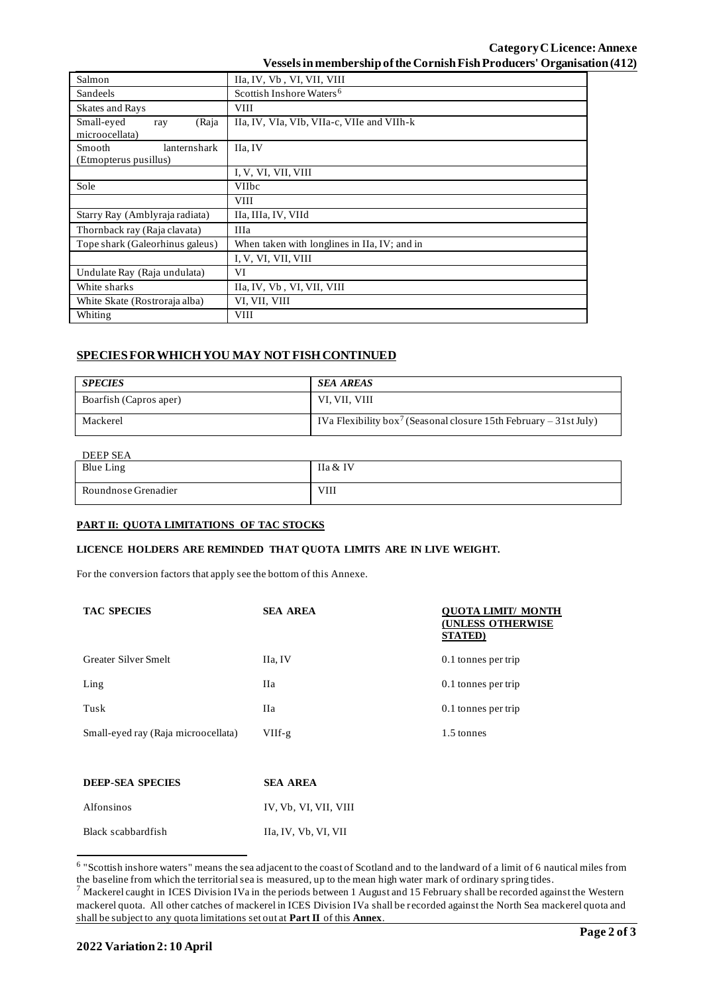## **Category CLicence: Annexe Vessels in membership of the Cornish Fish Producers' Organisation (412)**

| Salmon                                                 | IIa, IV, Vb, VI, VII, VIII                   |  |
|--------------------------------------------------------|----------------------------------------------|--|
| Sandeels                                               | Scottish Inshore Waters <sup>6</sup>         |  |
| <b>Skates and Rays</b>                                 | <b>VIII</b>                                  |  |
| Small-eyed<br>(Raja<br>ray<br>microocellata)           | IIa, IV, VIa, VIb, VIIa-c, VIIe and VIIh-k   |  |
| lanternshark<br><b>Smooth</b><br>(Etmopterus pusillus) | IIa, IV                                      |  |
|                                                        | I, V, VI, VII, VIII                          |  |
| Sole                                                   | <b>VIIbc</b>                                 |  |
|                                                        | <b>VIII</b>                                  |  |
| Starry Ray (Amblyraja radiata)                         | IIa, IIIa, IV, VIId                          |  |
| Thornback ray (Raja clavata)                           | <b>IIIa</b>                                  |  |
| Tope shark (Galeorhinus galeus)                        | When taken with longlines in IIa, IV; and in |  |
|                                                        | I, V, VI, VII, VIII                          |  |
| Undulate Ray (Raja undulata)                           | VI                                           |  |
| White sharks                                           | IIa, IV, Vb, VI, VII, VIII                   |  |
| White Skate (Rostroraja alba)                          | VI, VII, VIII                                |  |
| Whiting                                                | <b>VIII</b>                                  |  |

# **SPECIES FOR WHICH YOU MAY NOT FISH CONTINUED**

| <b>SPECIES</b>         | <b>SEA AREAS</b>                                                              |
|------------------------|-------------------------------------------------------------------------------|
| Boarfish (Capros aper) | VI, VII, VIII                                                                 |
| Mackerel               | IVa Flexibility box <sup>7</sup> (Seasonal closure 15th February – 31st July) |

### DEEP SEA

| DEEL SEA            |             |  |
|---------------------|-------------|--|
| <b>Blue Ling</b>    | IIa & IV    |  |
| Roundnose Grenadier | <b>VIII</b> |  |

### **PART II: QUOTA LIMITATIONS OF TAC STOCKS**

#### **LICENCE HOLDERS ARE REMINDED THAT QUOTA LIMITS ARE IN LIVE WEIGHT.**

For the conversion factors that apply see the bottom of this Annexe.

| <b>TAC SPECIES</b>                  | <b>SEA AREA</b>       | OUOTA LIMIT/ MONTH<br><b>(UNLESS OTHERWISE</b><br><b>STATED</b> ) |
|-------------------------------------|-----------------------|-------------------------------------------------------------------|
| Greater Silver Smelt                | IIa, IV               | 0.1 tonnes per trip                                               |
| $L$ ing                             | Ha                    | 0.1 tonnes per trip                                               |
| Tusk                                | Ha                    | 0.1 tonnes per trip                                               |
| Small-eyed ray (Raja microocellata) | $VIIf-g$              | 1.5 tonnes                                                        |
|                                     |                       |                                                                   |
| <b>DEEP-SEA SPECIES</b>             | <b>SEA AREA</b>       |                                                                   |
| Alfonsinos                          | IV, Vb, VI, VII, VIII |                                                                   |
| Black scabbardfish                  | IIa, IV, Vb, VI, VII  |                                                                   |

<sup>&</sup>lt;sup>6</sup> "Scottish inshore waters" means the sea adjacent to the coast of Scotland and to the landward of a limit of 6 nautical miles from the baseline from which the territorial sea is measured, up to the mean high water mark of ordinary spring tides.

 $^7$  Mackerel caught in ICES Division IVa in the periods between 1 August and 15 February shall be recorded against the Western mackerel quota. All other catches of mackerel in ICES Division IVa shall be recorded against the North Sea mackerel quota and shall be subject to any quota limitations set out at **Part II** of this **Annex**.